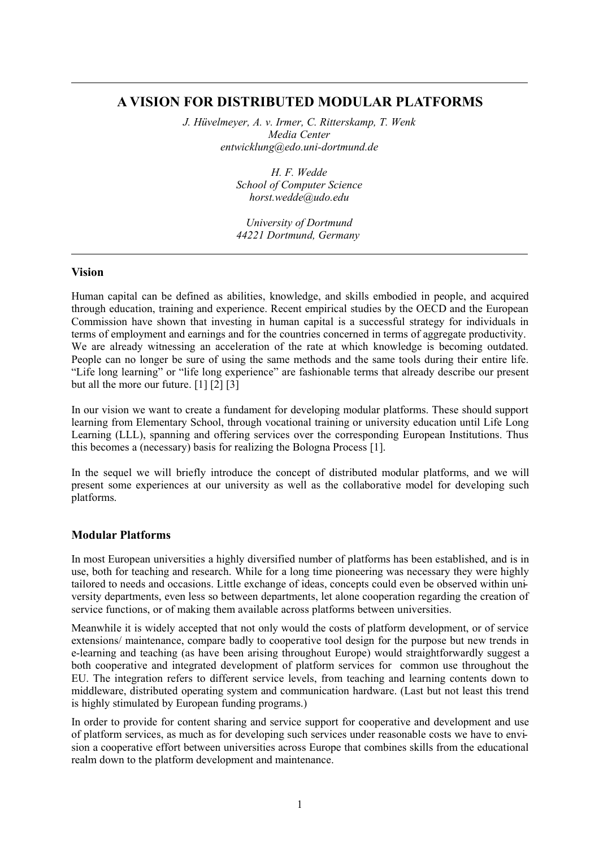## **A VISION FOR DISTRIBUTED MODULAR PLATFORMS**

*J. Hüvelmeyer, A. v. Irmer, C. Ritterskamp, T. Wenk Media Center entwicklung@edo.uni-dortmund.de*

> *H. F. Wedde School of Computer Science horst.wedde@udo.edu*

*University of Dortmund 44221 Dortmund, Germany*

#### **Vision**

Human capital can be defined as abilities, knowledge, and skills embodied in people, and acquired through education, training and experience. Recent empirical studies by the OECD and the European Commission have shown that investing in human capital is a successful strategy for individuals in terms of employment and earnings and for the countries concerned in terms of aggregate productivity. We are already witnessing an acceleration of the rate at which knowledge is becoming outdated. People can no longer be sure of using the same methods and the same tools during their entire life. "Life long learning" or "life long experience" are fashionable terms that already describe our present but all the more our future. [1] [2] [3]

In our vision we want to create a fundament for developing modular platforms. These should support learning from Elementary School, through vocational training or university education until Life Long Learning (LLL), spanning and offering services over the corresponding European Institutions. Thus this becomes a (necessary) basis for realizing the Bologna Process [1].

In the sequel we will briefly introduce the concept of distributed modular platforms, and we will present some experiences at our university as well as the collaborative model for developing such platforms.

### **Modular Platforms**

In most European universities a highly diversified number of platforms has been established, and is in use, both for teaching and research. While for a long time pioneering was necessary they were highly tailored to needs and occasions. Little exchange of ideas, concepts could even be observed within university departments, even less so between departments, let alone cooperation regarding the creation of service functions, or of making them available across platforms between universities.

Meanwhile it is widely accepted that not only would the costs of platform development, or of service extensions/ maintenance, compare badly to cooperative tool design for the purpose but new trends in e-learning and teaching (as have been arising throughout Europe) would straightforwardly suggest a both cooperative and integrated development of platform services for common use throughout the EU. The integration refers to different service levels, from teaching and learning contents down to middleware, distributed operating system and communication hardware. (Last but not least this trend is highly stimulated by European funding programs.)

In order to provide for content sharing and service support for cooperative and development and use of platform services, as much as for developing such services under reasonable costs we have to envision a cooperative effort between universities across Europe that combines skills from the educational realm down to the platform development and maintenance.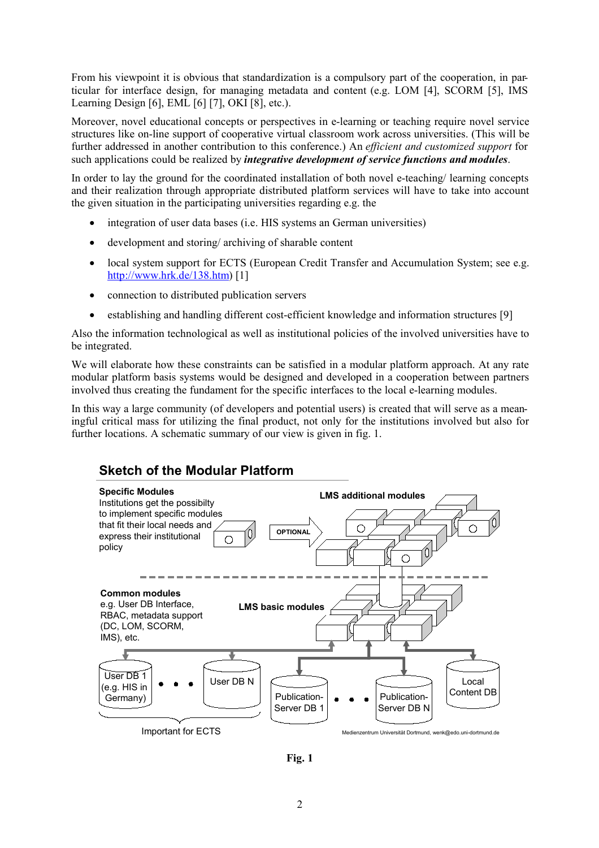From his viewpoint it is obvious that standardization is a compulsory part of the cooperation, in particular for interface design, for managing metadata and content (e.g. LOM [4], SCORM [5], IMS Learning Design [6], EML [6] [7], OKI [8], etc.).

Moreover, novel educational concepts or perspectives in e-learning or teaching require novel service structures like on-line support of cooperative virtual classroom work across universities. (This will be further addressed in another contribution to this conference.) An *efficient and customized support* for such applications could be realized by *integrative development of service functions and modules*.

In order to lay the ground for the coordinated installation of both novel e-teaching/ learning concepts and their realization through appropriate distributed platform services will have to take into account the given situation in the participating universities regarding e.g. the

- integration of user data bases (i.e. HIS systems an German universities)
- development and storing/ archiving of sharable content
- local system support for ECTS (European Credit Transfer and Accumulation System; see e.g. http://www.hrk.de/138.htm) [1]
- connection to distributed publication servers
- establishing and handling different cost-efficient knowledge and information structures [9]

Also the information technological as well as institutional policies of the involved universities have to be integrated.

We will elaborate how these constraints can be satisfied in a modular platform approach. At any rate modular platform basis systems would be designed and developed in a cooperation between partners involved thus creating the fundament for the specific interfaces to the local e-learning modules.

In this way a large community (of developers and potential users) is created that will serve as a meaningful critical mass for utilizing the final product, not only for the institutions involved but also for further locations. A schematic summary of our view is given in fig. 1.

# **Sketch of the Modular Platform**



**Fig. 1**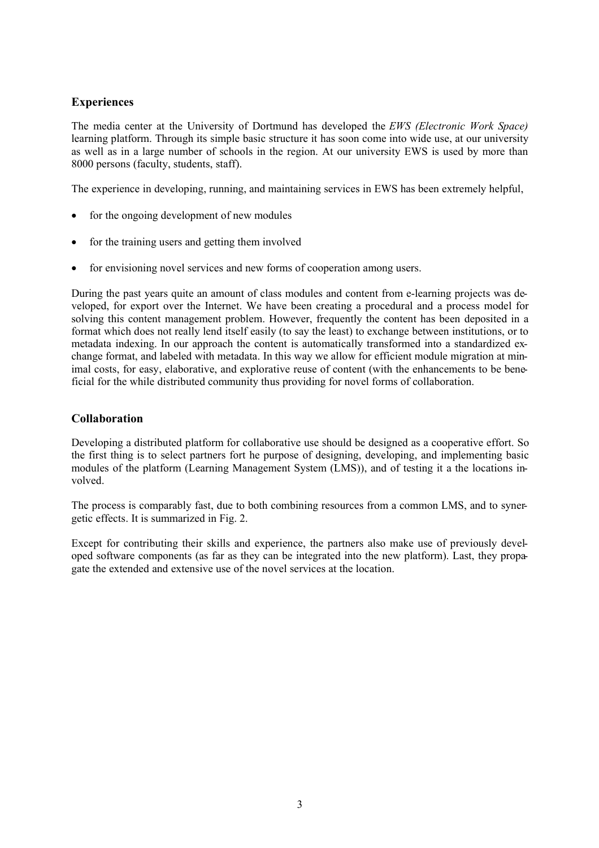### **Experiences**

The media center at the University of Dortmund has developed the *EWS (Electronic Work Space)* learning platform. Through its simple basic structure it has soon come into wide use, at our university as well as in a large number of schools in the region. At our university EWS is used by more than 8000 persons (faculty, students, staff).

The experience in developing, running, and maintaining services in EWS has been extremely helpful,

- $\bullet$  for the ongoing development of new modules
- for the training users and getting them involved
- for envisioning novel services and new forms of cooperation among users.

During the past years quite an amount of class modules and content from e-learning projects was developed, for export over the Internet. We have been creating a procedural and a process model for solving this content management problem. However, frequently the content has been deposited in a format which does not really lend itself easily (to say the least) to exchange between institutions, or to metadata indexing. In our approach the content is automatically transformed into a standardized exchange format, and labeled with metadata. In this way we allow for efficient module migration at minimal costs, for easy, elaborative, and explorative reuse of content (with the enhancements to be beneficial for the while distributed community thus providing for novel forms of collaboration.

### **Collaboration**

Developing a distributed platform for collaborative use should be designed as a cooperative effort. So the first thing is to select partners fort he purpose of designing, developing, and implementing basic modules of the platform (Learning Management System (LMS)), and of testing it a the locations involved.

The process is comparably fast, due to both combining resources from a common LMS, and to synergetic effects. It is summarized in Fig. 2.

Except for contributing their skills and experience, the partners also make use of previously developed software components (as far as they can be integrated into the new platform). Last, they propagate the extended and extensive use of the novel services at the location.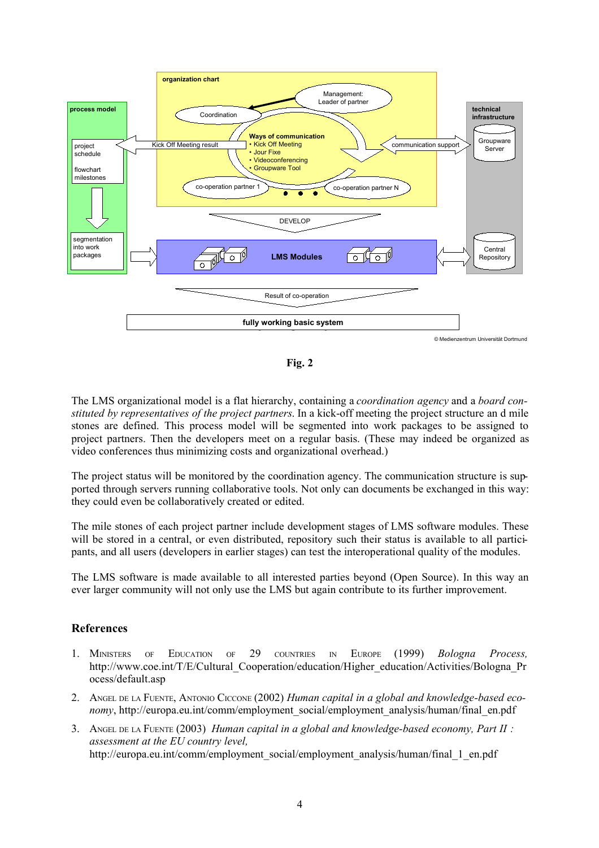

**Fig. 2**

The LMS organizational model is a flat hierarchy, containing a *coordination agency* and a *board constituted by representatives of the project partners*. In a kick-off meeting the project structure an d mile stones are defined. This process model will be segmented into work packages to be assigned to project partners. Then the developers meet on a regular basis. (These may indeed be organized as video conferences thus minimizing costs and organizational overhead.)

The project status will be monitored by the coordination agency. The communication structure is supported through servers running collaborative tools. Not only can documents be exchanged in this way: they could even be collaboratively created or edited.

The mile stones of each project partner include development stages of LMS software modules. These will be stored in a central, or even distributed, repository such their status is available to all participants, and all users (developers in earlier stages) can test the interoperational quality of the modules.

The LMS software is made available to all interested parties beyond (Open Source). In this way an ever larger community will not only use the LMS but again contribute to its further improvement.

### **References**

- 1. MINISTERS OF EDUCATION OF 29 COUNTRIES IN EUROPE (1999) *Bologna Process,* http://www.coe.int/T/E/Cultural\_Cooperation/education/Higher\_education/Activities/Bologna\_Pr ocess/default.asp
- 2. ANGEL DE LA FUENTE, ANTONIO CICCONE (2002) *Human capital in a global and knowledge-based economy*, http://europa.eu.int/comm/employment\_social/employment\_analysis/human/final\_en.pdf
- 3. ANGEL DE LA FUENTE (2003) *Human capital in a global and knowledge-based economy, Part II : assessment at the EU country level,* http://europa.eu.int/comm/employment\_social/employment\_analysis/human/final\_1\_en.pdf